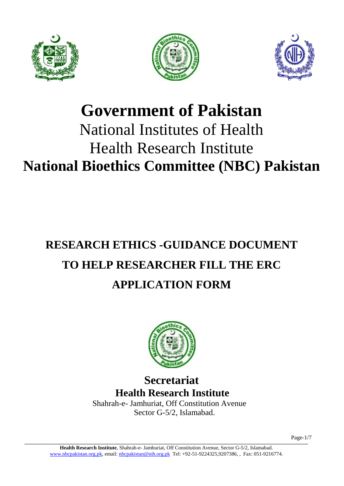





# **Government of Pakistan** National Institutes of Health Health Research Institute **National Bioethics Committee (NBC) Pakistan**

# **RESEARCH ETHICS -GUIDANCE DOCUMENT TO HELP RESEARCHER FILL THE ERC APPLICATION FORM**



# **Secretariat Health Research Institute**Shahrah-e- Jamhuriat, Off Constitution Avenue

Sector G-5/2, Islamabad.

**\_\_\_\_\_\_\_\_\_\_\_\_\_\_\_\_\_\_\_\_\_\_\_\_\_\_\_\_\_\_\_\_\_\_\_\_\_\_\_\_\_\_\_\_\_\_\_\_\_\_\_\_\_\_\_\_\_\_\_\_\_\_\_\_\_\_\_\_\_\_\_\_\_\_\_\_\_\_\_\_\_\_\_\_\_\_\_\_\_\_\_\_\_\_\_\_\_\_\_\_\_\_\_\_\_\_\_\_\_** Page-1/7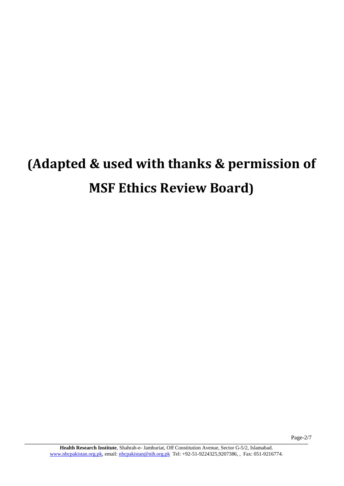# **(Adapted & used with thanks & permission of MSF Ethics Review Board)**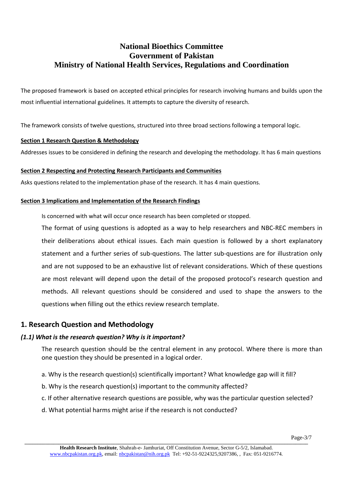# **National Bioethics Committee Government of Pakistan Ministry of National Health Services, Regulations and Coordination**

The proposed framework is based on accepted ethical principles for research involving humans and builds upon the most influential international guidelines. It attempts to capture the diversity of research.

The framework consists of twelve questions, structured into three broad sections following a temporal logic.

#### **Section 1 Research Question & Methodology**

Addresses issues to be considered in defining the research and developing the methodology. It has 6 main questions

#### **Section 2 Respecting and Protecting Research Participants and Communities**

Asks questions related to the implementation phase of the research. It has 4 main questions.

#### **Section 3 Implications and Implementation of the Research Findings**

Is concerned with what will occur once research has been completed or stopped.

The format of using questions is adopted as a way to help researchers and NBC-REC members in their deliberations about ethical issues. Each main question is followed by a short explanatory statement and a further series of sub-questions. The latter sub-questions are for illustration only and are not supposed to be an exhaustive list of relevant considerations. Which of these questions are most relevant will depend upon the detail of the proposed protocol's research question and methods. All relevant questions should be considered and used to shape the answers to the questions when filling out the ethics review research template.

# **1. Research Question and Methodology**

# *(1.1) What is the research question? Why is it important?*

The research question should be the central element in any protocol. Where there is more than one question they should be presented in a logical order.

- a. Why is the research question(s) scientifically important? What knowledge gap will it fill?
- b. Why is the research question(s) important to the community affected?
- c. If other alternative research questions are possible, why was the particular question selected?
- d. What potential harms might arise if the research is not conducted?

**Health Research Institute**, Shahrah-e- Jamhuriat, Off Constitution Avenue, Sector G-5/2, Islamabad. [www.nbcpakistan.org.pk,](http://www.nbcpakistan.org.pk/) email: [nbcpakistan@nih.org.pk](mailto:nbcpakistan@nih.org.pk) Tel: +92-51-9224325,9207386, , Fax: 051-9216774.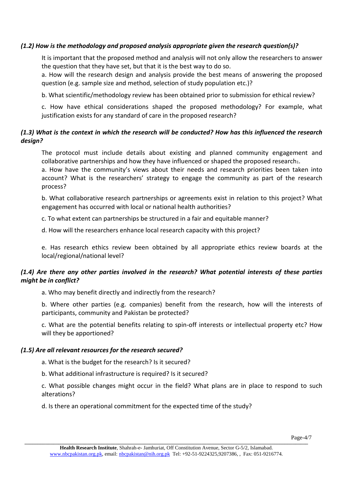#### *(1.2) How is the methodology and proposed analysis appropriate given the research question(s)?*

It is important that the proposed method and analysis will not only allow the researchers to answer the question that they have set, but that it is the best way to do so.

a. How will the research design and analysis provide the best means of answering the proposed question (e.g. sample size and method, selection of study population etc.)?

b. What scientific/methodology review has been obtained prior to submission for ethical review?

c. How have ethical considerations shaped the proposed methodology? For example, what justification exists for any standard of care in the proposed research?

# *(1.3) What is the context in which the research will be conducted? How has this influenced the research design?*

The protocol must include details about existing and planned community engagement and collaborative partnerships and how they have influenced or shaped the proposed research1.

a. How have the community's views about their needs and research priorities been taken into account? What is the researchers' strategy to engage the community as part of the research process?

b. What collaborative research partnerships or agreements exist in relation to this project? What engagement has occurred with local or national health authorities?

c. To what extent can partnerships be structured in a fair and equitable manner?

d. How will the researchers enhance local research capacity with this project?

e. Has research ethics review been obtained by all appropriate ethics review boards at the local/regional/national level?

# *(1.4) Are there any other parties involved in the research? What potential interests of these parties might be in conflict?*

a. Who may benefit directly and indirectly from the research?

b. Where other parties (e.g. companies) benefit from the research, how will the interests of participants, community and Pakistan be protected?

c. What are the potential benefits relating to spin-off interests or intellectual property etc? How will they be apportioned?

#### *(1.5) Are all relevant resources for the research secured?*

a. What is the budget for the research? Is it secured?

b. What additional infrastructure is required? Is it secured?

c. What possible changes might occur in the field? What plans are in place to respond to such alterations?

d. Is there an operational commitment for the expected time of the study?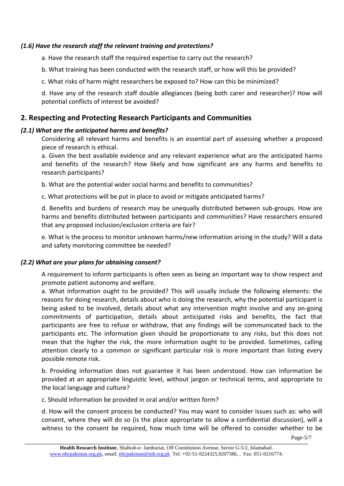#### *(1.6) Have the research staff the relevant training and protections?*

a. Have the research staff the required expertise to carry out the research?

b. What training has been conducted with the research staff, or how will this be provided?

c. What risks of harm might researchers be exposed to? How can this be minimized?

d. Have any of the research staff double allegiances (being both carer and researcher)? How will potential conflicts of interest be avoided?

# **2. Respecting and Protecting Research Participants and Communities**

# *(2.1) What are the anticipated harms and benefits?*

Considering all relevant harms and benefits is an essential part of assessing whether a proposed piece of research is ethical.

a. Given the best available evidence and any relevant experience what are the anticipated harms and benefits of the research? How likely and how significant are any harms and benefits to research participants?

b. What are the potential wider social harms and benefits to communities?

c. What protections will be put in place to avoid or mitigate anticipated harms?

d. Benefits and burdens of research may be unequally distributed between sub-groups. How are harms and benefits distributed between participants and communities? Have researchers ensured that any proposed inclusion/exclusion criteria are fair?

e. What is the process to monitor unknown harms/new information arising in the study? Will a data and safety monitoring committee be needed?

# *(2.2) What are your plans for obtaining consent?*

A requirement to inform participants is often seen as being an important way to show respect and promote patient autonomy and welfare.

a. What information ought to be provided? This will usually include the following elements: the reasons for doing research, details about who is doing the research, why the potential participant is being asked to be involved, details about what any intervention might involve and any on-going commitments of participation, details about anticipated risks and benefits, the fact that participants are free to refuse or withdraw, that any findings will be communicated back to the participants etc. The information given should be proportionate to any risks, but this does not mean that the higher the risk, the more information ought to be provided. Sometimes, calling attention clearly to a common or significant particular risk is more important than listing every possible remote risk.

b. Providing information does not guarantee it has been understood. How can information be provided at an appropriate linguistic level, without jargon or technical terms, and appropriate to the local language and culture?

c. Should information be provided in oral and/or written form?

d. How will the consent process be conducted? You may want to consider issues such as: who will consent, where they will do so (is the place appropriate to allow a confidential discussion), will a witness to the consent be required, how much time will be offered to consider whether to be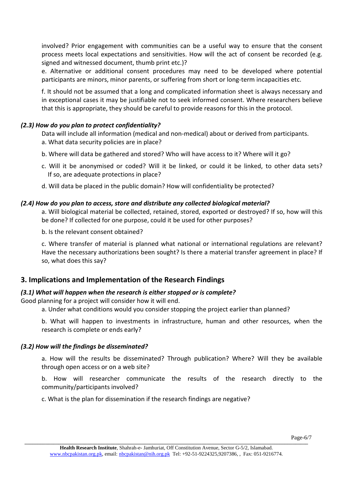involved? Prior engagement with communities can be a useful way to ensure that the consent process meets local expectations and sensitivities. How will the act of consent be recorded (e.g. signed and witnessed document, thumb print etc.)?

e. Alternative or additional consent procedures may need to be developed where potential participants are minors, minor parents, or suffering from short or long-term incapacities etc.

f. It should not be assumed that a long and complicated information sheet is always necessary and in exceptional cases it may be justifiable not to seek informed consent. Where researchers believe that this is appropriate, they should be careful to provide reasons for this in the protocol.

# *(2.3) How do you plan to protect confidentiality?*

Data will include all information (medical and non-medical) about or derived from participants.

- a. What data security policies are in place?
- b. Where will data be gathered and stored? Who will have access to it? Where will it go?
- c. Will it be anonymised or coded? Will it be linked, or could it be linked, to other data sets? If so, are adequate protections in place?
- d. Will data be placed in the public domain? How will confidentiality be protected?

#### *(2.4) How do you plan to access, store and distribute any collected biological material?*

a. Will biological material be collected, retained, stored, exported or destroyed? If so, how will this be done? If collected for one purpose, could it be used for other purposes?

b. Is the relevant consent obtained?

c. Where transfer of material is planned what national or international regulations are relevant? Have the necessary authorizations been sought? Is there a material transfer agreement in place? If so, what does this say?

# **3. Implications and Implementation of the Research Findings**

#### *(3.1) What will happen when the research is either stopped or is complete?*

Good planning for a project will consider how it will end.

a. Under what conditions would you consider stopping the project earlier than planned?

b. What will happen to investments in infrastructure, human and other resources, when the research is complete or ends early?

#### *(3.2) How will the findings be disseminated?*

a. How will the results be disseminated? Through publication? Where? Will they be available through open access or on a web site?

b. How will researcher communicate the results of the research directly to the community/participants involved?

c. What is the plan for dissemination if the research findings are negative?